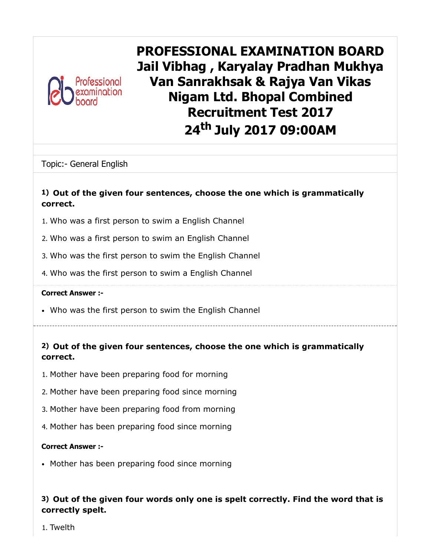

PROFESSIONAL EXAMINATION BOARD Jail Vibhag , Karyalay Pradhan Mukhya Van Sanrakhsak & Rajya Van Vikas Nigam Ltd. Bhopal Combined Recruitment Test 2017 24<sup>th</sup> July 2017 09:00AM

Topic:- General English

### 1) Out of the given four sentences, choose the one which is grammatically correct.

- 1. Who was a first person to swim a English Channel
- 2. Who was a first person to swim an English Channel
- 3. Who was the first person to swim the English Channel
- 4. Who was the first person to swim a English Channel

#### Correct Answer :-

Who was the first person to swim the English Channel

# 2) Out of the given four sentences, choose the one which is grammatically correct.

- 1. Mother have been preparing food for morning
- 2. Mother have been preparing food since morning
- 3. Mother have been preparing food from morning
- 4. Mother has been preparing food since morning

#### Correct Answer :-

• Mother has been preparing food since morning

### 3) Out of the given four words only one is spelt correctly. Find the word that is correctly spelt.

1. Twelth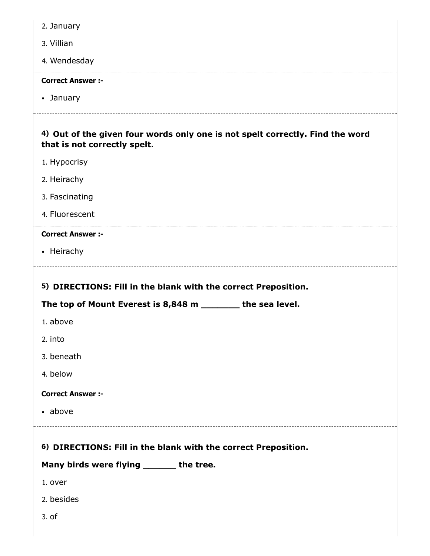| 2. January                                                                                                    |
|---------------------------------------------------------------------------------------------------------------|
| 3. Villian                                                                                                    |
| 4. Wendesday                                                                                                  |
| <b>Correct Answer :-</b>                                                                                      |
| • January                                                                                                     |
| 4) Out of the given four words only one is not spelt correctly. Find the word<br>that is not correctly spelt. |
| 1. Hypocrisy                                                                                                  |
| 2. Heirachy                                                                                                   |
| 3. Fascinating                                                                                                |
| 4. Fluorescent                                                                                                |
| <b>Correct Answer :-</b>                                                                                      |
| • Heirachy                                                                                                    |
|                                                                                                               |
| 5) DIRECTIONS: Fill in the blank with the correct Preposition.                                                |
| The top of Mount Everest is 8,848 m _______ the sea level.                                                    |
| 1. above                                                                                                      |
| 2. into                                                                                                       |
| 3. beneath                                                                                                    |
| 4. below                                                                                                      |
| <b>Correct Answer :-</b>                                                                                      |
| • above                                                                                                       |
| 6) DIRECTIONS: Fill in the blank with the correct Preposition.                                                |
| Many birds were flying _______ the tree.                                                                      |
| 1. over                                                                                                       |
| 2. besides                                                                                                    |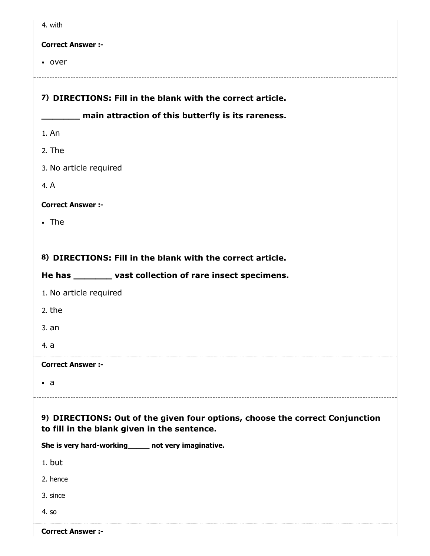|--|

• over

#### 7) DIRECTIONS: Fill in the blank with the correct article.

#### **The main attraction of this butterfly is its rareness.**

- 1. An
- 2. The
- 3. No article required
- 4. A

#### Correct Answer :-

• The

### 8) DIRECTIONS: Fill in the blank with the correct article.

### He has \_\_\_\_\_\_\_ vast collection of rare insect specimens.

- 1. No article required
- 2. the
- 3. an
- 4. a

#### Correct Answer :-

 $\bullet$  a

### 9) DIRECTIONS: Out of the given four options, choose the correct Conjunction to fill in the blank given in the sentence.

She is very hard-working\_\_\_\_\_ not very imaginative.

1. but

2. hence

3. since

4. so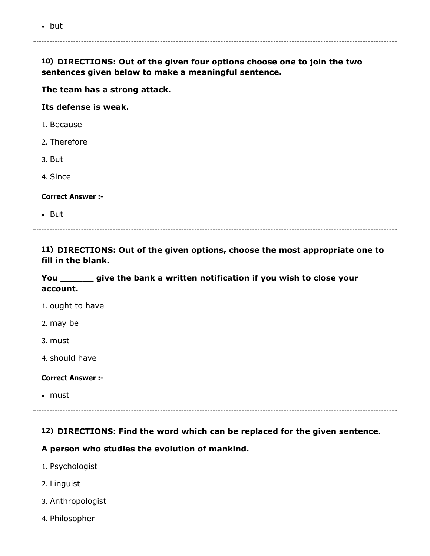| 10) DIRECTIONS: Out of the given four options choose one to join the two |
|--------------------------------------------------------------------------|
| sentences given below to make a meaningful sentence.                     |

The team has a strong attack.

Its defense is weak.

- 1. Because
- 2. Therefore
- 3. But
- 4. Since

Correct Answer :-

• But

11) DIRECTIONS: Out of the given options, choose the most appropriate one to fill in the blank.

You \_\_\_\_\_\_\_ give the bank a written notification if you wish to close your account.

- 1. ought to have
- 2. may be
- 3. must

4. should have

#### Correct Answer :-

must

# 12) DIRECTIONS: Find the word which can be replaced for the given sentence.

A person who studies the evolution of mankind.

- 1. Psychologist
- 2. Linguist
- 3. Anthropologist
- 4. Philosopher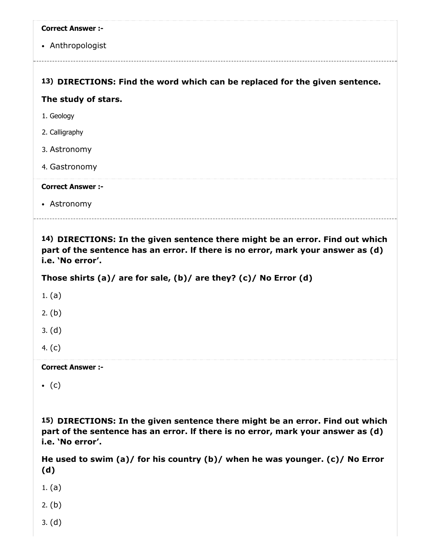| <b>Correct Answer :-</b>                                                    |
|-----------------------------------------------------------------------------|
| • Anthropologist                                                            |
|                                                                             |
| 13) DIRECTIONS: Find the word which can be replaced for the given sentence. |
| The study of stars.                                                         |
| 1. Geology                                                                  |
| 2. Calligraphy                                                              |
| 3. Astronomy                                                                |
| 4. Gastronomy                                                               |
| <b>Correct Answer :-</b>                                                    |
| • Astronomy                                                                 |

14) DIRECTIONS: In the given sentence there might be an error. Find out which part of the sentence has an error. lf there is no error, mark your answer as (d) i.e. 'No error'.

Those shirts (a)/ are for sale, (b)/ are they? (c)/ No Error (d)

1. (a)

2. (b)

3. (d)

4. (c)

Correct Answer :-

 $\bullet$  (c)

15) DIRECTIONS: In the given sentence there might be an error. Find out which part of the sentence has an error. lf there is no error, mark your answer as (d) i.e. 'No error'.

He used to swim (a)/ for his country (b)/ when he was younger. (c)/ No Error (d)

1. (a)

2. (b)

3. (d)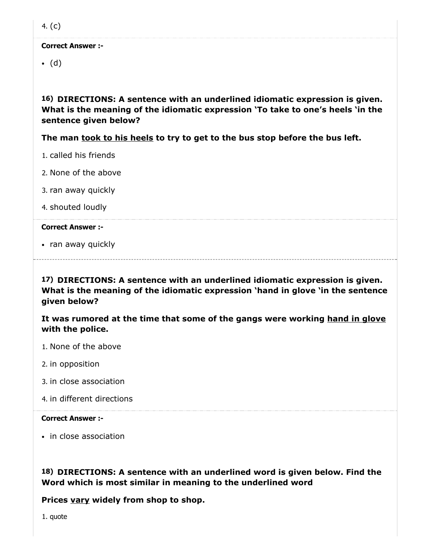4. (c)

Correct Answer :-

 $\bullet$  (d)

16) DIRECTIONS: A sentence with an underlined idiomatic expression is given. What is the meaning of the idiomatic expression 'To take to one's heels 'in the sentence given below?

The man took to his heels to try to get to the bus stop before the bus left.

- 1. called his friends
- 2. None of the above
- 3. ran away quickly
- 4. shouted loudly

#### Correct Answer :-

• ran away quickly

17) DIRECTIONS: A sentence with an underlined idiomatic expression is given. What is the meaning of the idiomatic expression 'hand in glove 'in the sentence given below?

It was rumored at the time that some of the gangs were working hand in glove with the police.

- 1. None of the above
- 2. in opposition
- 3. in close association
- 4. in different directions

#### Correct Answer :-

• in close association

18) DIRECTIONS: A sentence with an underlined word is given below. Find the Word which is most similar in meaning to the underlined word

Prices vary widely from shop to shop.

1. quote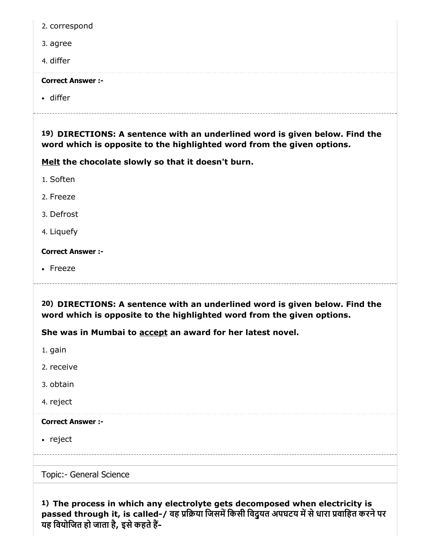|  | 2. correspond |
|--|---------------|
|--|---------------|

- 3. agree
- 4. differ

differ

19) DIRECTIONS: A sentence with an underlined word is given below. Find the word which is opposite to the highlighted word from the given options.

Melt the chocolate slowly so that it doesn't burn.

- 1. Soften
- 2. Freeze
- 3. Defrost
- 4. Liquefy

#### Correct Answer :-

• Freeze

20) DIRECTIONS: A sentence with an underlined word is given below. Find the word which is opposite to the highlighted word from the given options.

She was in Mumbai to accept an award for her latest novel.

1. gain

- 2. receive
- 3. obtain
- 4. reject

#### Correct Answer :-

• reject

Topic:- General Science

1) The process in which any electrolyte gets decomposed when electricity is passed through it, is called-/ वह प्रक्रिया जिसमें किसी विदुयत अपघटय में से धारा प्रवाहित करने पर यह वियोजित हो जाता है, इसे कहते हैं-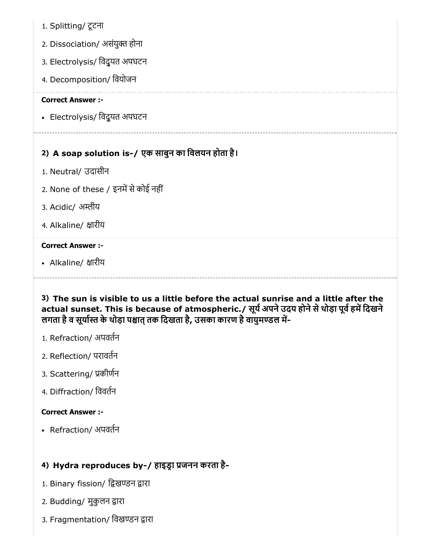- 1. Splitting/ टूटना
- 2. Dissociation/ असंयुक्त होना
- 3. Electrolysis/ िवद्ुयत अपघटन
- 4. Decomposition/ िवयोजन

Electrolysis/ िवद्ुयत अपघटन

# 2) A soap solution is-/ एक साबुन का िवलयन होता है।

- 1. Neutral/ उदासीन
- 2. None of these / इनमें से कोई नहीं
- 3. Acidic/ अम्लीय
- 4. Alkaline/ क्षारीय

#### Correct Answer :-

• Alkaline/ क्षारीय

# 3) The sun is visible to us a little before the actual sunrise and a little after the actual sunset. This is because of atmospheric./ सूर्य अपने उदय होने से थोड़ा पूर्व हमें दिखने लगता है व सूर्यास्त के थोड़ा पश्चात तक दिखता है, उसका कारण है वायुमण्डल में-

- 1. Refraction/ अपवतन
- 2. Reflection/ परावतन
- 3. Scattering/ कीणन
- 4. Diffraction/ िववतन

#### Correct Answer :-

Refraction/ अपवतन

# 4) Hydra reproduces by-/ हाइडा जनन करता है-

- 1. Binary fission/ द्विखण्डन द्वारा
- 2. Budding/ मुकुलन द्वारा
- 3. Fragmentation/ विखण्डन द्वारा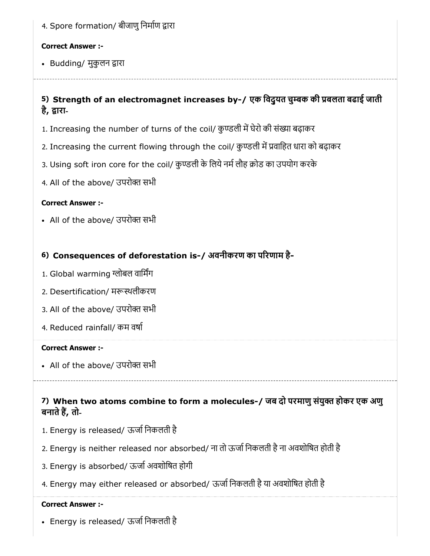4. Spore formation/ बीजाणु निर्माण द्वारा

#### Correct Answer :-

• Budding/ मुकुलन द्वारा

# 5) Strength of an electromagnet increases by-/ एक विदुयत चुम्बक की प्रबलता बढाई जाती है, द्वारा-

- 1. Increasing the number of turns of the coil/ कुण्डली में घेरो की संख्या बढ़ाकर
- 2. Increasing the current flowing through the coil/ कुण्डली में प्रवाहित धारा को बढ़ाकर
- 3. Using soft iron core for the coil/ कुण्डली के लिये नर्म लौह क्रोड का उपयोग करके
- 4. All of the above/ उपरोक्त सभी

### Correct Answer :-

• All of the above/ उपरोक्त सभी

# 6) Consequences of deforestation is-/ अवनीकरण का परणाम है-

- 1. Global warming ग्लोबल वार्मिंग
- 2. Desertification/ मरूस्थलीकरण
- 3. All of the above/ उपरोक्त सभी
- 4. Reduced rainfall/ कम वषा

#### Correct Answer :-

• All of the above/ उपरोक्त सभी

# 7) When two atoms combine to form a molecules-/ जब दो परमाणु संयुक्त होकर एक अणु बनाते हैं, तो-

- 1. Energy is released/ ऊजािनकलती है
- 2. Energy is neither released nor absorbed/ ना तो ऊजािनकलती हैना अवशोिषत होती है
- 3. Energy is absorbed/ ऊर्जा अवशोषित होगी
- 4. Energy may either released or absorbed/ ऊजािनकलती हैया अवशोिषत होती है

#### Correct Answer :-

Energy is released/ ऊजािनकलती है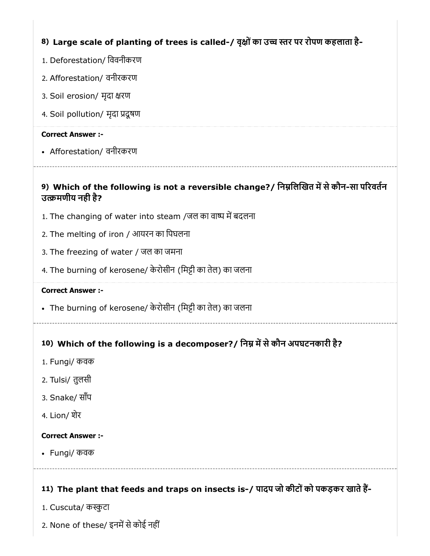8) Large scale of planting of trees is called-/ वृक्षों का उच्च स्तर पर रोपण कहलाता है-

- 1. Deforestation/ िववनीकरण
- 2. Afforestation/ वनीरकरण
- 3. Soil erosion/ मृदा क्षरण
- 4. Soil pollution/ मृदा दूषण

#### Correct Answer :-

Afforestation/ वनीरकरण

# 9) Which of the following is not a reversible change?/ निम्नलिखित में से कौन-सा परिवर्तन उमणीय नही है?

- 1. The changing of water into steam /जल का वाष्प में बदलना
- 2. The melting of iron / आयरन का िपघलना
- 3. The freezing of water / जल का जमना
- 4. The burning of kerosene/ केरोसीन (मिट्टी का तेल) का जलना

#### Correct Answer :-

- The burning of kerosene/ केरोसीन (मिट्टी का तेल) का जलना
- 

# 10) Which of the following is a decomposer?/ निम्न में से कौन अपघटनकारी है?

- 1. Fungi/ कवक
- 2. Tulsi/ तुलसी
- 3. Snake/ साँप
- 4. Lion/ शेर

#### Correct Answer :-

Fungi/ कवक

# 11) The plant that feeds and traps on insects is-/ पादप जो कीटों को पकड़कर खाते हैं-

- 1. Cuscuta/ कुटा
- 2. None of these/ इनमें से कोई नहीं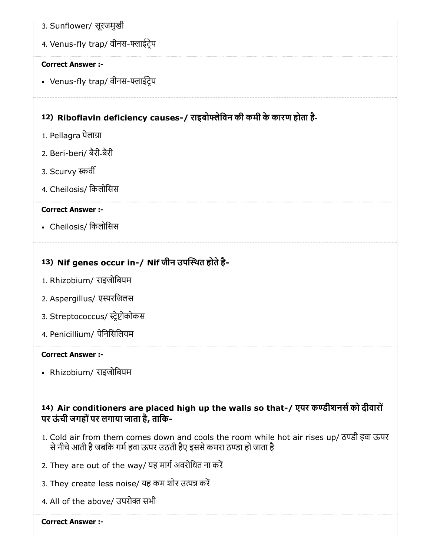- 12) Riboflavin deficiency causes-/ राइबोफ्लेविन की कमी के कारण होता है-13) Nif genes occur in-/ Nif जीन उपथत होतेहै- 3. Sunflower/ सूरजमुखी 4. Venus-fly trap/ वीनस-फ्लाईट्रेप Correct Answer :- • Venus-fly trap/ वीनस-फ्लाईट्रेप 1. Pellagra पेलाग्रा 2. Beri-beri/ बैरी-बैरी 3. Scurvy व 4. Cheilosis/ िकलोिसस Correct Answer :- Cheilosis/ िकलोिसस
	- 1. Rhizobium/ राइजोिबयम
	- 2. Aspergillus/ एरिजलस
	- 3. Streptococcus/ स्ट्रेप्टोकोकस
	- 4. Penicillium/ पेिनिसिलयम

• Rhizobium/ राइजोबियम

# 14) Air conditioners are placed high up the walls so that-/ एयर कण्डीशनसे को दीवारों पर ऊं ची जगहोंपर लगाया जाता है, तािक-

- 1. Cold air from them comes down and cools the room while hot air rises up/ ठण्डी हवा ऊपर से नीचे आती है जबकि गर्म हवा ऊपर उठती हैए इससे कमरा ठण्डा हो जाता है
- 2. They are out of the way/ यह मार्ग अवरोधित ना करें
- 3. They create less noise/ यह कम शोर उत्पन्न करें
- 4. All of the above/ उपरोक्त सभी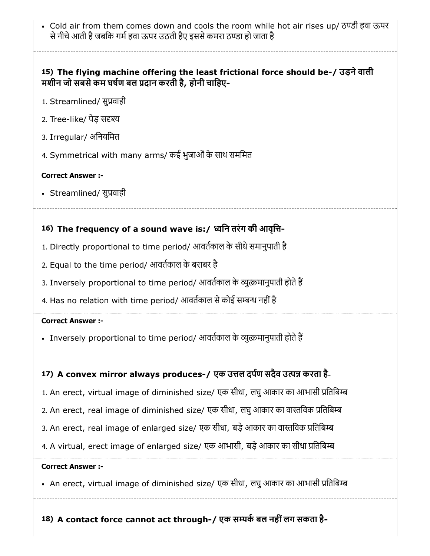• Cold air from them comes down and cools the room while hot air rises up/ ठण्डी हवा ऊपर से नीचे आती है जबकि गर्म हवा ऊपर उठती हैए इससे कमरा ठण्डा हो जाता है

# 15) The flying machine offering the least frictional force should be-/ उड़नेवाली मशीन जो सबसे कम घर्षण बल प्रदान करती है, होनी चाहिए-

- 1. Streamlined/ सुप्रवाही
- 2. Tree-like/ पेड़ स
- 3. Irregular/ अनियमित
- 4. Symmetrical with many arms/ कई भूजाओं के साथ सममित

#### Correct Answer :-

• Streamlined/ सुप्रवाही

# 16) The frequency of a sound wave is:/ िन तरंग की आवृि-

- 1. Directly proportional to time period/ आवतकाल के सीधेसमानुपाती है
- 2. Equal to the time period/ आवतकाल के बराबर है
- 3. Inversely proportional to time period/ आवर्तकाल के व्युत्क्रमानुपाती होते हैं
- 4. Has no relation with time period/ आवर्तकाल से कोई सम्बन्ध नहीं है

#### Correct Answer :-

• Inversely proportional to time period/ आवर्तकाल के व्युत्क्रमानुपाती होते हैं

### 17) A convex mirror always produces-/ एक उत्तल दर्पण सदैव उत्पन्न करता है-

- 1. An erect, virtual image of diminished size/ एक सीधा, लघु आकार का आभासी प्रतिबिम्ब
- 2. An erect, real image of diminished size/ एक सीधा, लघु आकार का वास्तविक प्रतिबिम्ब
- 3. An erect, real image of enlarged size/ एक सीधा, बड़े आकार का वास्तविक प्रतिबिम्ब
- 4. A virtual, erect image of enlarged size/ एक आभासी, बड़े आकार का सीधा प्रतिबिम्ब

#### Correct Answer :-

• An erect, virtual image of diminished size/ एक सीधा, लघु आकार का आभासी प्रतिबिम्ब

18) A contact force cannot act through-/ एक सम्पर्क बल नहीं लग सकता है-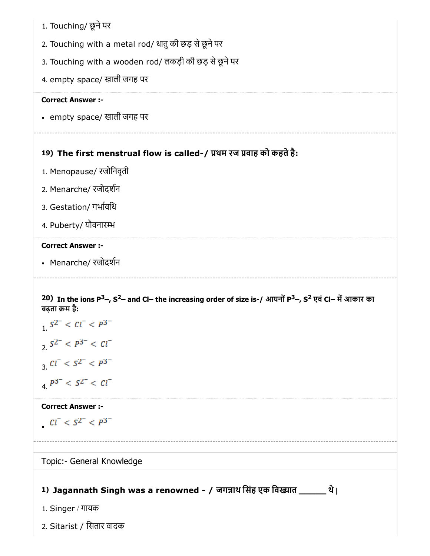| 1. Touching/ छूने पर |  |
|----------------------|--|
|----------------------|--|

- 2. Touching with a metal rod/ धातुकी छड़ सेछूनेपर
- 3. Touching with a wooden rod/ लकड़ी की छड़ सेछूनेपर
- 4. empty space/ खाली जगह पर

• empty space/ खाली जगह पर

# 19) The first menstrual flow is called-/ थम रज वाह को कहतेहै:

- 1. Menopause/ रजोिनवृती
- 2. Menarche/ रजोदशन
- 3. Gestation/ गभाविध
- 4. Puberty/ यौवनार

#### Correct Answer :-

• Menarche/ रजोदर्शन

#### 20) In the ions P<sup>3\_</sup>, S<sup>2\_</sup> and Cl— the increasing order of size is-/ आयनों P<sup>3\_</sup>, S<sup>2</sup> एवं Cl— में आकार का बढता क्रम है:

1. 
$$
S^{2-} < CI^{-} < P^{3-}
$$
  
\n2.  $S^{2-} < P^{3-} < CI^{-}$   
\n3.  $CI^{-} < S^{2-} < P^{3-}$   
\n4.  $P^{3-} < S^{2-} < CI^{-}$ 

#### Correct Answer :-

$$
Cl^- < S^{2^-} < P^{3^-}
$$

### Topic:- General Knowledge

# 1) Jagannath Singh was a renowned - / जगन्नाथ सिंह एक विख्यात \_\_\_\_\_\_\_ थे।

- 1. Singer / गायक
- 2. Sitarist / िसतार वादक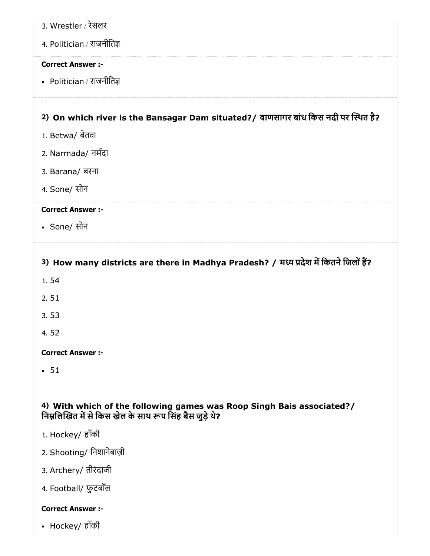| 3. Wrestler / रेसलर                                                                                                              |
|----------------------------------------------------------------------------------------------------------------------------------|
| 4. Politician / राजनीतिज्ञ                                                                                                       |
| <b>Correct Answer :-</b>                                                                                                         |
| • Politician / राजनीतिज्ञ                                                                                                        |
|                                                                                                                                  |
| 2) On which river is the Bansagar Dam situated?/ बाणसागर बांध किस नदी पर स्थित है?                                               |
| 1. Betwa/ बेतवा                                                                                                                  |
| 2. Narmada/ नर्मदा                                                                                                               |
| 3. Barana/ बरना                                                                                                                  |
| 4. Sone/ सोन                                                                                                                     |
| <b>Correct Answer :-</b>                                                                                                         |
| • Sone/ सोन                                                                                                                      |
|                                                                                                                                  |
| 3) How many districts are there in Madhya Pradesh? / मध्य प्रदेश में कितने जिलों हैं?                                            |
| 1.54                                                                                                                             |
| 2.51                                                                                                                             |
| 3.53                                                                                                                             |
| 4.52                                                                                                                             |
| <b>Correct Answer :-</b>                                                                                                         |
| $-51$                                                                                                                            |
|                                                                                                                                  |
| 4) With which of the following games was Roop Singh Bais associated?/<br>निम्नलिखित में से किस खेल के साथ रूप सिंह बैस जुड़े थे? |
| 1. Hockey/ हॉकी                                                                                                                  |
| 2. Shooting/ निशानेबाज़ी                                                                                                         |
| 3. Archery/ तीरंदाजी                                                                                                             |
| 4. Football/ फुटबॉल                                                                                                              |
| <b>Correct Answer :-</b>                                                                                                         |
| • Hockey/ हॉकी                                                                                                                   |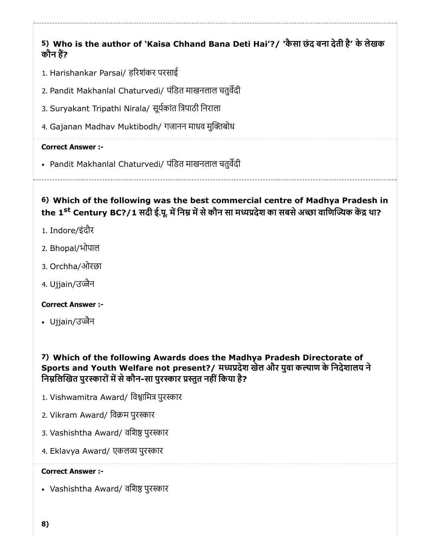5) Who is the author of 'Kaisa Chhand Bana Deti Hai'?/ 'कैसा छंद बना देती है' के लेखक कौन हैं?

- 1. Harishankar Parsai/ हरशंकर परसाई
- 2. Pandit Makhanlal Chaturvedi/ पंिडत माखनलाल चतुवदी
- 3. Suryakant Tripathi Nirala/ सूयकांत िपाठी िनराला
- 4. Gajanan Madhav Muktibodh/ गजानन माधव मुक्तिबोध

#### Correct Answer :-

• Pandit Makhanlal Chaturvedi/ पंडित माखनलाल चतुर्वेदी

6) Which of the following was the best commercial centre of Madhya Pradesh in the 1<sup>st</sup> Century BC?/1 सदी ई.पू. में निम्न में से कौन सा मध्यप्रदेश का सबसे अच्छा वाणिज्यिक केंद्र था?

- 1. Indore/इंदौर
- 2. Bhopal/भोपाल
- 3. Orchha/ओरछा
- 4. Ujjain/उज्जैन

#### Correct Answer :-

• Ujjain/उज्जैन

7) Which of the following Awards does the Madhya Pradesh Directorate of Sports and Youth Welfare not present?/ मध्यप्रदेश खेल और युवा कल्याण के निदेशालय ने निम्नलिखित पुरस्कारों में से कौन-सा पुरस्कार प्रस्तुत नहीं किया है?

- 1. Vishwamitra Award/ विश्वामित्र पुरस्कार
- 2. Vikram Award/ विक्रम पुरस्कार
- 3. Vashishtha Award/ वशिष्ठ पुरस्कार
- 4. Eklavya Award/ एकलव्य पुरस्कार

#### Correct Answer :-

• Vashishtha Award/ वशिष्ठ पुरस्कार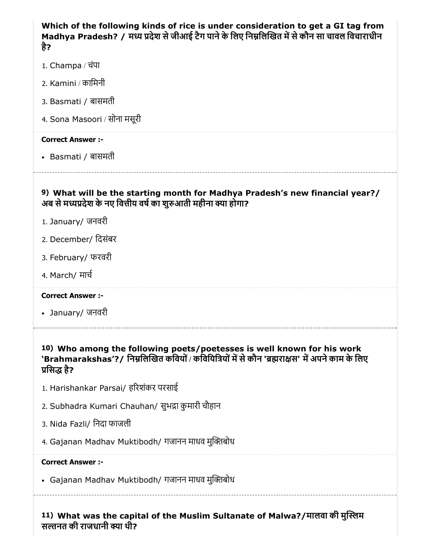| Which of the following kinds of rice is under consideration to get a GI tag from<br>Madhya Pradesh? / मध्य प्रदेश से जीआई टैग पाने के लिए निम्नलिखित में से कौन सा चावल विचाराधीन<br>है?   |
|--------------------------------------------------------------------------------------------------------------------------------------------------------------------------------------------|
| 1. Champa / चंपा                                                                                                                                                                           |
| 2. Kamini / कामिनी                                                                                                                                                                         |
| 3. Basmati / बासमती                                                                                                                                                                        |
| 4. Sona Masoori / सोना मसूरी                                                                                                                                                               |
| <b>Correct Answer :-</b>                                                                                                                                                                   |
| • Basmati / बासमती                                                                                                                                                                         |
| 9) What will be the starting month for Madhya Pradesh's new financial year?/<br>अब से मध्यप्रदेश के नए वित्तीय वर्ष का शुरुआती महीना क्या होगा?                                            |
| 1. January/ जनवरी                                                                                                                                                                          |
| 2. December/ दिसंबर                                                                                                                                                                        |
| 3. February/ फरवरी                                                                                                                                                                         |
| 4. March/ मार्च                                                                                                                                                                            |
| <b>Correct Answer :-</b>                                                                                                                                                                   |
| • January/ जनवरी                                                                                                                                                                           |
| 10) Who among the following poets/poetesses is well known for his work<br>`Brahmarakshas'?/ निम्नलिखित कवियों / कवियित्रियों में से कौन 'ब्रह्मराक्षस' में अपने काम के लिए<br>प्रसिद्ध है? |
| 1. Harishankar Parsai/ हरिशंकर परसाई                                                                                                                                                       |
| 2. Subhadra Kumari Chauhan/ सुभद्रा कुमारी चौहान                                                                                                                                           |
| 3. Nida Fazli/ निदा फाजली                                                                                                                                                                  |
| 4. Gajanan Madhav Muktibodh/ गजानन माधव मुक्तिबोध                                                                                                                                          |
| <b>Correct Answer:-</b>                                                                                                                                                                    |
| • Gajanan Madhav Muktibodh/ गजानन माधव मुक्तिबोध                                                                                                                                           |
| 11) What was the capital of the Muslim Sultanate of Malwa?/मालवा की मुस्लिम<br>सल्तनत की राजधानी क्या थी?                                                                                  |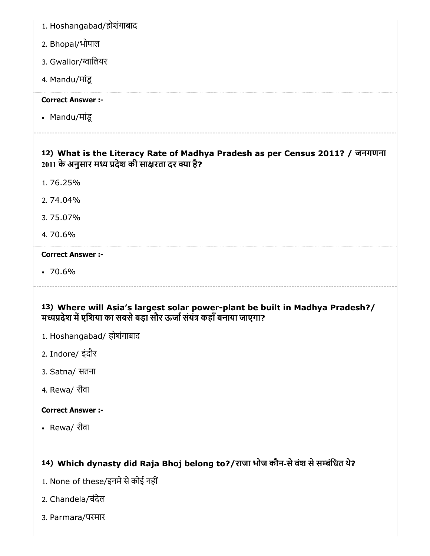- 1. Hoshangabad/होशंगाबाद
- 2. Bhopal/भोपाल
- 3. Gwalior/ग्वालियर
- 4. Mandu/मांडू

• Mandu/मांडू

# 12) What is the Literacy Rate of Madhya Pradesh as per Census 2011? / जनगणना 2011 के अनुसार मध्य प्रदेश की साक्षरता दर क्या है?

- 1. 76.25%
- 2. 74.04%
- 3. 75.07%
- 4. 70.6%

### Correct Answer :-

 $-70.6%$ 

# 13) Where will Asia's largest solar power-plant be built in Madhya Pradesh?/ मध्यप्रदेश में एशिया का सबसे बड़ा सौर ऊर्जा संयंत्र कहाँ बनाया जाएगा?

- 1. Hoshangabad/ होशंगाबाद
- 2. Indore/ इंदौर
- 3. Satna/ सतना
- 4. Rewa/ रीवा

# Correct Answer :-

Rewa/ रीवा

# 14) Which dynasty did Raja Bhoj belong to?/राजा भोज कौन-सेवंश सेसंिधत थे?

- 1. None of these/इनमे से कोई नहीं
- 2. Chandela/चंदेल
- 3. Parmara/परमार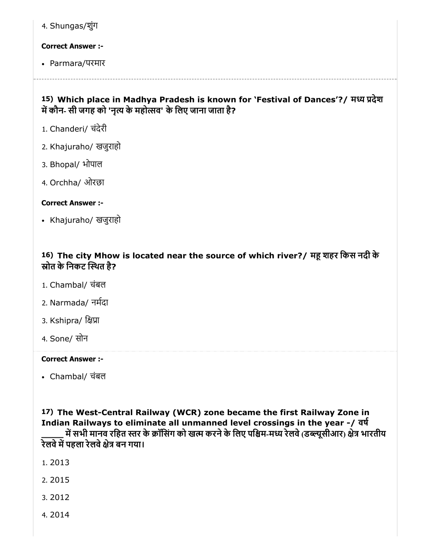4. Shungas/शुंग

#### Correct Answer :-

Parmara/परमार

### 15) Which place in Madhya Pradesh is known for `Festival of Dances'?/ मध्य प्रदेश में कौन- सी जगह को 'नृत्य के महोत्सव' के लिए जाना जाता है?

- 1. Chanderi/ चंदेरी
- 2. Khajuraho/ खजुराहो
- 3. Bhopal/ भोपाल
- 4. Orchha/ ओरछा

#### Correct Answer :-

Khajuraho/ खजुराहो

# 16) The city Mhow is located near the source of which river?/ महू शहर किस नदी के स्रोत के निकट स्थित है?

- 1. Chambal/ चंबल
- 2. Narmada/ नमदा
- 3. Kshipra/ क्षिप्रा
- 4. Sone/ सोन

#### Correct Answer :-

Chambal/ चंबल

17) The West-Central Railway (WCR) zone became the first Railway Zone in Indian Railways to eliminate all unmanned level crossings in the year -/ वष में सभी मानव रहित स्तर के क्रॉसिंग को खत्म करने के लिए पश्चिम-मध्य रेलवे (डब्ल्यूसीआर) क्षेत्र भारतीय रेलवे में पहला रेलवे क्षेत्र बन गया।

- 1. 2013
- 2. 2015
- 3. 2012
- 4. 2014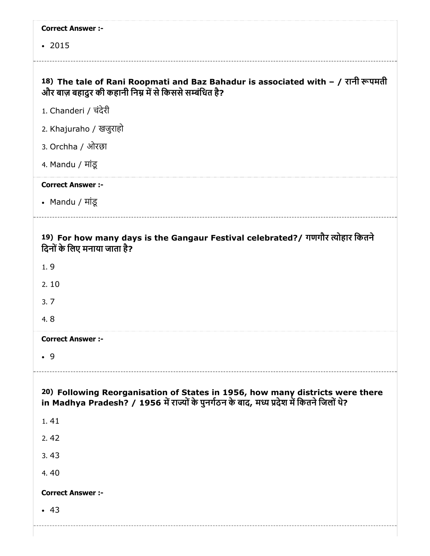| <b>Correct Answer :-</b>                                                                                                                                                   |
|----------------------------------------------------------------------------------------------------------------------------------------------------------------------------|
| $-2015$                                                                                                                                                                    |
|                                                                                                                                                                            |
| 18) The tale of Rani Roopmati and Baz Bahadur is associated with – / रानी रूपमती<br>और बाज़ बहादुर की कहानी निम्न में से किससे सम्बंधित है?                                |
| 1. Chanderi / चंदेरी                                                                                                                                                       |
| 2. Khajuraho / खजुराहो                                                                                                                                                     |
| 3. Orchha / ओरछा                                                                                                                                                           |
| 4. Mandu / मांडू                                                                                                                                                           |
| <b>Correct Answer :-</b>                                                                                                                                                   |
| • Mandu / मांडू                                                                                                                                                            |
|                                                                                                                                                                            |
| 19) For how many days is the Gangaur Festival celebrated?/ गणगौर त्योहार कितने<br>दिनों के लिए मनाया जाता है?                                                              |
| 1, 9                                                                                                                                                                       |
| 2.10                                                                                                                                                                       |
| 3.7                                                                                                                                                                        |
| 4.8                                                                                                                                                                        |
| <b>Correct Answer :-</b>                                                                                                                                                   |
| .9                                                                                                                                                                         |
|                                                                                                                                                                            |
| 20) Following Reorganisation of States in 1956, how many districts were there<br>in Madhya Pradesh? / 1956 में राज्यों के पुनर्गठन के बाद, मध्य प्रदेश में कितने जिलों थे? |
| 1.41                                                                                                                                                                       |
| 2.42                                                                                                                                                                       |
| 3.43                                                                                                                                                                       |
| 4.40                                                                                                                                                                       |
| <b>Correct Answer :-</b>                                                                                                                                                   |
| $-43$                                                                                                                                                                      |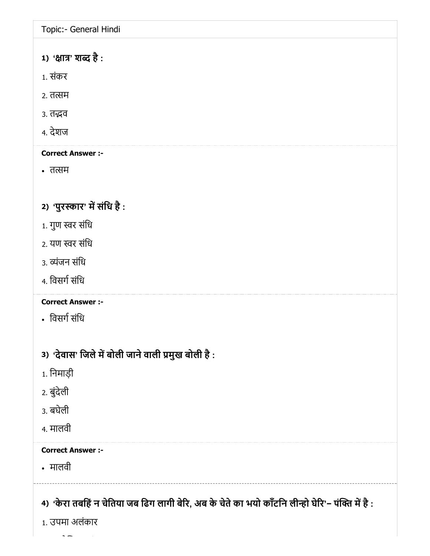Topic:- General Hindi

# 1) 'क्षात्र' शब्द है :

- 1. संकर
- 2. तत्सम
- 3. तद्भव
- 4. देशज

### Correct Answer :-

• तत्सम

# 2) 'पुरस्कार' में संधि है :

- $1.$  गुण स्वर संधि
- 2. यण स्वर संधि
- 3. व्यंजन संधि
- 4. विसर्ग संधि

# Correct Answer :-

- िवसगसंिध
- 3) 'देवास' जिले में बोली जाने वाली प्रमुख बोली है :
- 1. िनमाड़ी
- 2. बुंदेली
- 3. बघेली
- 4. मालवी

### Correct Answer :-

मालवी

4) 'केरा तबहिं न चेतिया जब ढिंग लागी बेरि, अब के चेते का भयो कॉटनि लेन्हिो घेरि'− पंक्ति में है :

1. उपमा अलंकार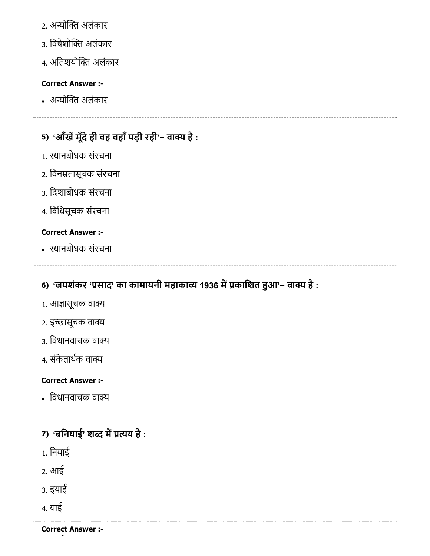- 2. अन्योक्ति अलंकार
- 3. विषेशोक्ति अलंकार
- 4. अतिशयोक्ति अलंकार

• अन्योक्ति अलंकार

# 5) 'आँखें मूँदे ही वह वहाँ पड़ी रही'− वाक्य है :

- 1. थानबोधक संरचना
- 2. िवनतासूचक संरचना
- 3. िदशाबोधक संरचना
- 4. िविधसूचक संरचना

# Correct Answer :-

थानबोधक संरचना

# 6) 'जयशंकर 'प्रसाद' का कामायनी महाकाव्य 1936 में प्रकाशित हुआ'− वाक्य है :

- 1. आज्ञासूचक वाक्य
- 2. इच्छासूचक वाक्य
- 3. िवधानवाचक वा
- 4. संकेताथक वा

### Correct Answer :-

• विधानवाचक वाक्य

# 7) 'बनियाई' शब्द में प्रत्यय है :

- 1. िनयाई
- 2. आई
- 3. इयाई
- 4. याई

Correct Answer :-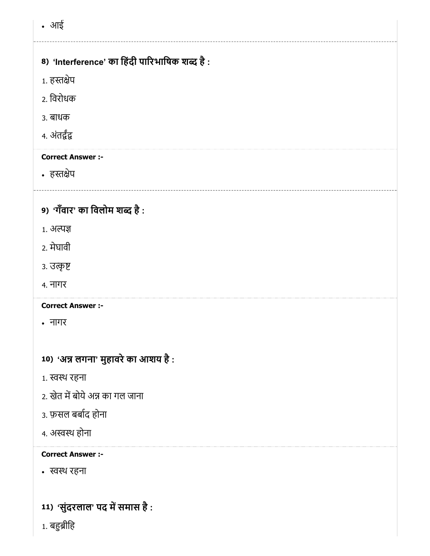आई

# 8) 'Interference' का हिंदी पारिभाषिक शब्द है :

- 1. हस्तक्षेप
- 2. िवरोधक
- 3. बाधक
- 4. अंत

# Correct Answer :-

• हस्तक्षेप

# 9) 'गंवार' का विलोम शब्द है :

- 1. अ
- 2. मेघावी
- 3. उत्कृष्ट
- 4. नागर

Correct Answer :-

- नागर
- 10) 'अन्न लगना' मुहावरे का आशय है :
- 1. स्वस्थ रहना
- 2. खेत में बोये अन्न का गल जाना
- 3. फ़सल बबाद होना
- 4. अस्वस्थ होना

#### Correct Answer :-

थ रहना

11) *'*सुंदरलाल' पद में समास है :

1. बहुब्रीहि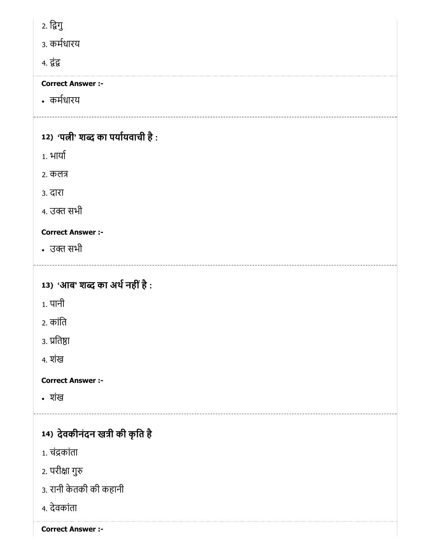2. िगु

3. कमधारय

4. *इं*द्र

Correct Answer :-

कमधारय

# 12) 'पत्नी' शब्द का पर्यायवाची है :

1. भाया

2. कल

3. दारा

4. उक्त सभी

# Correct Answer :-

• उक्त सभी

# 13) 'आब' शब्द का अर्थ नहीं है :

- 1. पानी
- 2. कांित
- ३. प्रतिष्ठा
- 4. शंख

Correct Answer :-

शंख

# 14) देवकीनंदन खत्री की कृति हैं

- 1. चंकांता
- 2. परीक्षा गुरु
- 3. रानी केतकी की कहानी
- 4. देवकांता

Correct Answer :-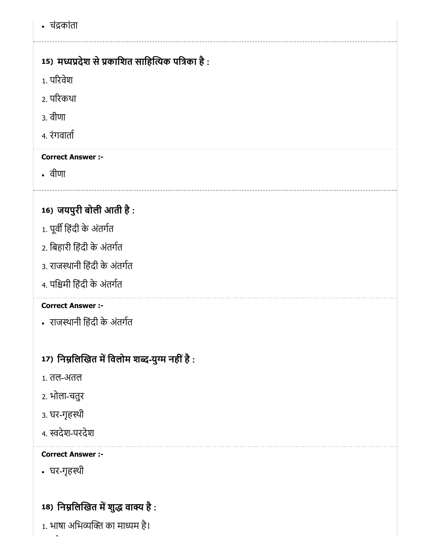चंकांता

# 15) मध्यप्रदेश से प्रकाशित साहित्यिक पत्रिका है :

- 1. परवेश
- 2. परकथा
- 3. वीणा
- 4. रंगवाता

# Correct Answer :-

वीणा

# 16) जयपुरी बोली आती है :

- 1. पूर्वी हिंदी के अंतर्गत
- 2. िबहारी िहंदी के अंतगत
- 3. राजथानी िहंदी के अंतगत
- 4. पिमी िहंदी के अंतगत

# Correct Answer :-

राजथानी िहंदी के अंतगत

# 17) निम्नलिखित में विलोम शब्द-युग्म नहीं है :

- 1. तल-अतल
- 2. भोला-चतुर
- 3. घर-गृहथी
- 4. देश-परदेश

### Correct Answer :-

घर-गृहथी

# 18) निम्नलिखित में शुद्ध वाक्य है :

1. भाषा अभिव्यक्ति का माध्यम है।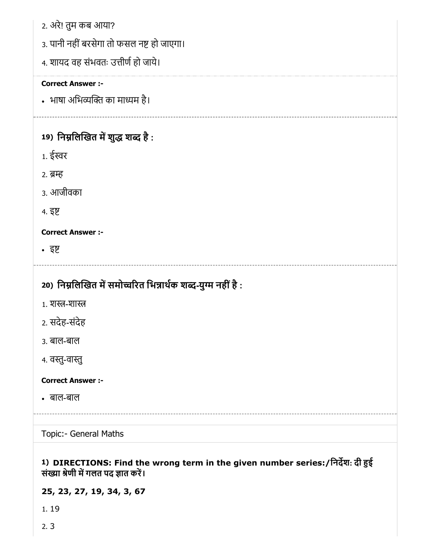|  |  |  |  | 2. अरे! तुम कब आया? |
|--|--|--|--|---------------------|
|--|--|--|--|---------------------|

- 3. पानी नहीं बरसेगा तो फसल नष्ट हो जाएगा।
- 4. शायद वह संभवतः उत्तीर्ण हो जाये।

• भाषा अभिव्यक्ति का माध्यम है।

# 19) निम्नलिखित में शुद्ध शब्द है :

- 1. ईर
- 2. ब्रम्ह
- 3. आजीवका
- 4. इ

### Correct Answer :-

इ

# 20) निम्नलिखित में समोच्चरित भिन्नार्थक शब्द-युग्म नहीं है :

- 1. शस्त्र-शास्त
- 2. सदेह-संदेह
- 3. बाल-बाल
- 4. वस्तु-वास्तु

### Correct Answer :-

बाल-बाल

Topic:- General Maths

# 1) DIRECTIONS: Find the wrong term in the given number series:/िनदश: दी ई संख्या श्रेणी में गलत पद ज्ञात करें।

# 25, 23, 27, 19, 34, 3, 67

- 1. 19
- 2. 3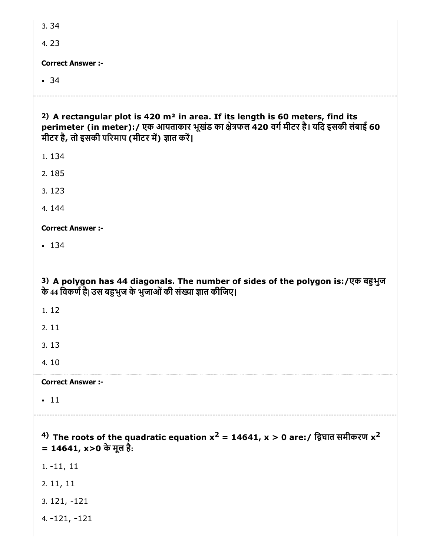4. 23

Correct Answer :-

• 34

| 2) A rectangular plot is 420 m <sup>2</sup> in area. If its length is 60 meters, find its<br>perimeter (in meter):/ एक आयताकार भूखंड का क्षेत्रफल 420 वर्ग मीटर है। यदि इसकी लंबाई 60<br>मीटर है, तो इसकी परिमाप (मीटर में) ज्ञात करें। |
|-----------------------------------------------------------------------------------------------------------------------------------------------------------------------------------------------------------------------------------------|
| 1.134                                                                                                                                                                                                                                   |
| 2.185                                                                                                                                                                                                                                   |
| 3.123                                                                                                                                                                                                                                   |
| 4.144                                                                                                                                                                                                                                   |
| <b>Correct Answer :-</b>                                                                                                                                                                                                                |
| • 134                                                                                                                                                                                                                                   |
|                                                                                                                                                                                                                                         |
| 3) A polygon has 44 diagonals. The number of sides of the polygon is:/एक बहुभुज<br>के 44 विकर्ण है  उस बहुभुज के भुजाओं की संख्या ज्ञात कीजिए।                                                                                          |
| 1.12                                                                                                                                                                                                                                    |
| 2.11                                                                                                                                                                                                                                    |
| 3.13                                                                                                                                                                                                                                    |
| 4.10                                                                                                                                                                                                                                    |
| <b>Correct Answer :-</b>                                                                                                                                                                                                                |
| $\cdot$ 11                                                                                                                                                                                                                              |
| 4) The roots of the quadratic equation $x^2 = 14641$ , $x > 0$ are:/ द्विघात समीकरण $x^2$<br>= 14641, x>0 के मूल है:                                                                                                                    |
| $1. -11, 11$                                                                                                                                                                                                                            |
| 2.11, 11                                                                                                                                                                                                                                |
| $3.121, -121$                                                                                                                                                                                                                           |
| $4. -121, -121$                                                                                                                                                                                                                         |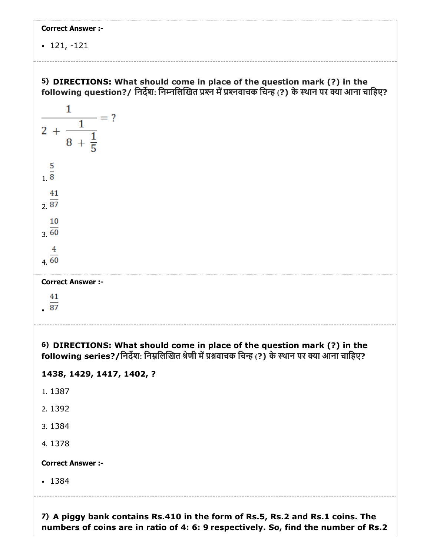121, -121



7) A piggy bank contains Rs.410 in the form of Rs.5, Rs.2 and Rs.1 coins. The numbers of coins are in ratio of 4: 6: 9 respectively. So, find the number of Rs.2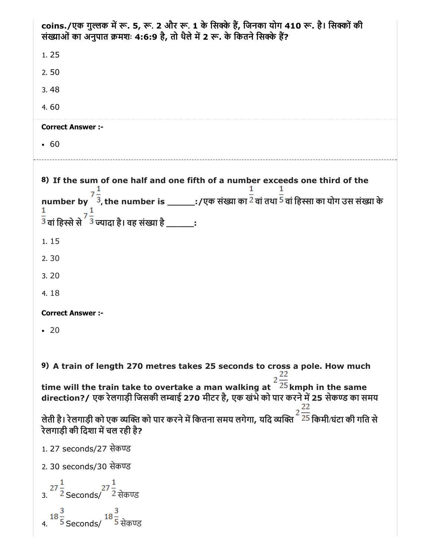| 1.25<br>2.50<br>3.48<br>4.60<br><b>Correct Answer :-</b><br>• 60<br>8) If the sum of one half and one fifth of a number exceeds one third of the<br>number by ${}^{'}\bar{3}$ , the number is _______:/एक संख्या का $\bar{2}$ वां तथा $\bar{5}$ वां हिस्सा का योग उस संख्या के<br>$\frac{1}{3}$ वां हिस्से से $\frac{7}{3}$ ज्यादा है। वह संख्या है ________: |  |  |  |
|---------------------------------------------------------------------------------------------------------------------------------------------------------------------------------------------------------------------------------------------------------------------------------------------------------------------------------------------------------------|--|--|--|
|                                                                                                                                                                                                                                                                                                                                                               |  |  |  |
|                                                                                                                                                                                                                                                                                                                                                               |  |  |  |
|                                                                                                                                                                                                                                                                                                                                                               |  |  |  |
|                                                                                                                                                                                                                                                                                                                                                               |  |  |  |
|                                                                                                                                                                                                                                                                                                                                                               |  |  |  |
|                                                                                                                                                                                                                                                                                                                                                               |  |  |  |
|                                                                                                                                                                                                                                                                                                                                                               |  |  |  |
|                                                                                                                                                                                                                                                                                                                                                               |  |  |  |
| 1.15                                                                                                                                                                                                                                                                                                                                                          |  |  |  |
| 2.30                                                                                                                                                                                                                                                                                                                                                          |  |  |  |
| 3.20                                                                                                                                                                                                                                                                                                                                                          |  |  |  |
| 4.18                                                                                                                                                                                                                                                                                                                                                          |  |  |  |
| <b>Correct Answer :-</b>                                                                                                                                                                                                                                                                                                                                      |  |  |  |
| $\cdot$ 20                                                                                                                                                                                                                                                                                                                                                    |  |  |  |
|                                                                                                                                                                                                                                                                                                                                                               |  |  |  |
| 9) A train of length 270 metres takes 25 seconds to cross a pole. How much                                                                                                                                                                                                                                                                                    |  |  |  |
| time will the train take to overtake a man walking at $2\frac{22}{25}$ kmph in the same<br>direction?/ एक रेलगाड़ी जिसकी लम्बाई 270 मीटर है, एक खंभे को पार करने में 25 सेकण्ड का समय                                                                                                                                                                         |  |  |  |
| लेती है। रेलगाड़ी को एक व्यक्ति को पार करने में कितना समय लगेगा, यदि व्यक्ति <sup>222</sup> किमी/घंटा की गति से يُحْتَلُونَ<br>रेलगाड़ी की दिशा में चल रही है?                                                                                                                                                                                                |  |  |  |
| 1.27 seconds/27 सेकण्ड                                                                                                                                                                                                                                                                                                                                        |  |  |  |
| 2.30 seconds/30 सेकण्ड                                                                                                                                                                                                                                                                                                                                        |  |  |  |
| 3. $27\frac{1}{2}$ Seconds/ $27\frac{1}{2}$ सेकण्ड                                                                                                                                                                                                                                                                                                            |  |  |  |

|    | 18 –       | 18 –     |
|----|------------|----------|
| 4. | 5 Seconds/ | 5 सेकण्ड |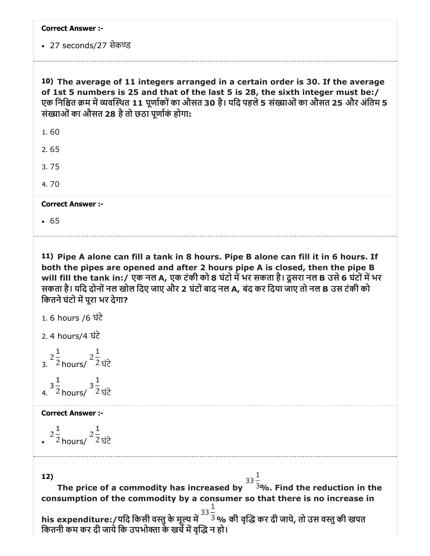|  | <b>Correct Answer :-</b> |  |
|--|--------------------------|--|
|--|--------------------------|--|

• 27 seconds/27 सेकण्ड

10) The average of 11 integers arranged in a certain order is 30. If the average of 1st 5 numbers is 25 and that of the last 5 is 28, the sixth integer must be:/ एक निश्चित क्रम में व्यवस्थित 11 पूर्णाकों का औसत 30 है। यदि पहले 5 संख्याओं का औसत 25 और अंतिम 5 संख्याओं का औसत 28 है तो छठा पूर्णाकं होगा:

2. 65

3. 75

4. 70

Correct Answer :-

 $65$ 

11) Pipe A alone can fill a tank in 8 hours. Pipe B alone can fill it in 6 hours. If both the pipes are opened and after 2 hours pipe A is closed, then the pipe B will fill the tank in:/ एक नल A, एक टंकी को 8 घंटो में भर सकता है। दूसरा नल B उसे 6 घंटों में भर सकता है। यिद दोनोंनल खोल िदए जाए और 2 घंटोंबाद नल A, बंद कर िदया जाए तो नल B उस टंकी को कितने घंटो में परा भर देगा?

```
1. 6 hours /6 घंटे
```
2. 4 hours/4 घंटे

 $\frac{2}{3}$  $\frac{1}{2}$  hours/  $\frac{2}{2}$  घंटे  $3\frac{1}{2}$  hours/  $3\frac{1}{2}$  घंटे

Correct Answer :-

 $2\frac{1}{2}$ <sub>hours/</sub>  $2\frac{1}{2}$ ਬਂਟੇ

12)

The price of a commodity has increased by  $\frac{33}{3}$ %. Find the reduction in the The price of a commodity has increased by  $\frac{33}{3}$ %. Find the reduction in the consumption of the commodity by a consumer so that there is no increase in

his expenditure:/यदि किसी वस्तु के मूल्य में <sup>33</sup> % की वृद्धि कर दी जाये, तो उस वस्तु की खपत कितनी कम कर दी जाये कि उपभोक्ता के खर्चे में वृद्धि न हो।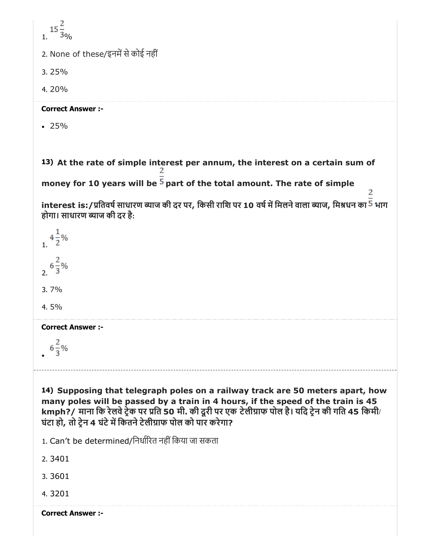| 2. None of these/इनमें से कोई नहीं                                                                                                                                                                                                                                                                                                           |
|----------------------------------------------------------------------------------------------------------------------------------------------------------------------------------------------------------------------------------------------------------------------------------------------------------------------------------------------|
| 3.25%                                                                                                                                                                                                                                                                                                                                        |
| 4.20%                                                                                                                                                                                                                                                                                                                                        |
| <b>Correct Answer :-</b>                                                                                                                                                                                                                                                                                                                     |
| $\cdot$ 25%                                                                                                                                                                                                                                                                                                                                  |
| 13) At the rate of simple interest per annum, the interest on a certain sum of<br>money for 10 years will be $5$ part of the total amount. The rate of simple                                                                                                                                                                                |
| interest is:/प्रतिवर्ष साधारण ब्याज की दर पर, किसी राशि पर 10 वर्ष में मिलने वाला ब्याज, मिश्रधन का <sup>5</sup> भाग<br>होगा। साधारण ब्याज की दर है:                                                                                                                                                                                         |
|                                                                                                                                                                                                                                                                                                                                              |
|                                                                                                                                                                                                                                                                                                                                              |
| 3.7%                                                                                                                                                                                                                                                                                                                                         |
| 4.5%                                                                                                                                                                                                                                                                                                                                         |
| <b>COLLECT AUSMEL :-</b>                                                                                                                                                                                                                                                                                                                     |
| $6\frac{2}{3}\%$                                                                                                                                                                                                                                                                                                                             |
| 14) Supposing that telegraph poles on a railway track are 50 meters apart, how<br>many poles will be passed by a train in 4 hours, if the speed of the train is 45<br>kmph?/ माना कि रेलवे ट्रेक पर प्रति 50 मी. की दूरी पर एक टेलीग्राफ पोल है। यदि ट्रेन की गति 45 किमी/<br>घंटा हो, तो ट्रेन 4 घंटे में कितने टेलीग्राफ पोल को पार करेगा? |
| 1. Can't be determined/निर्धारित नहीं किया जा सकता                                                                                                                                                                                                                                                                                           |
| 2.3401                                                                                                                                                                                                                                                                                                                                       |
| 3.3601                                                                                                                                                                                                                                                                                                                                       |

4. 3201

Correct Answer :-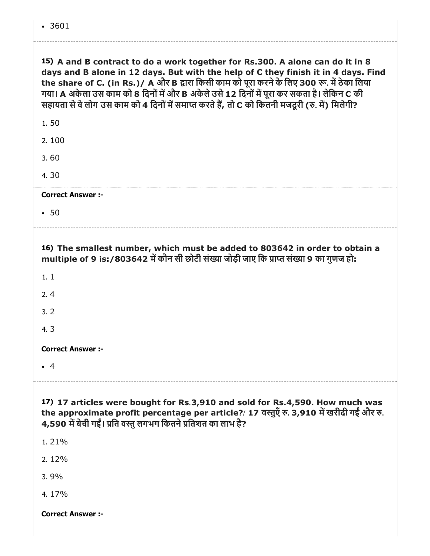| 15) A and B contract to do a work together for Rs.300. A alone can do it in 8<br>days and B alone in 12 days. But with the help of C they finish it in 4 days. Find<br>the share of C. (in Rs.)/ A और B द्वारा किसी काम को पूरा करने के लिए 300 रू. में ठेका लिया<br>गया। A अकेला उस काम को 8 दिनों में और B अकेले उसे 12 दिनों में पूरा कर सकता है। लेकिन C की<br>सहायता से वे लोग उस काम को 4 दिनों में समाप्त करते हैं, तो C को कितनी मजदूरी (रु. में) मिलेगी? |  |  |  |  |  |
|-------------------------------------------------------------------------------------------------------------------------------------------------------------------------------------------------------------------------------------------------------------------------------------------------------------------------------------------------------------------------------------------------------------------------------------------------------------------|--|--|--|--|--|
| 1.50                                                                                                                                                                                                                                                                                                                                                                                                                                                              |  |  |  |  |  |
| 2.100                                                                                                                                                                                                                                                                                                                                                                                                                                                             |  |  |  |  |  |
| 3.60                                                                                                                                                                                                                                                                                                                                                                                                                                                              |  |  |  |  |  |
| 4.30                                                                                                                                                                                                                                                                                                                                                                                                                                                              |  |  |  |  |  |

• 50

16) The smallest number, which must be added to 803642 in order to obtain a multiple of 9 is:/803642 में कौन सी छोटी संख्या जोड़ी जाए कि प्राप्त संख्या 9 का गुणज हो:

1. 1

2. 4

3. 2

4. 3

Correct Answer :-

4

17) 17 articles were bought for Rs.3,910 and sold for Rs.4,590. How much was the approximate profit percentage per article?/ 17 वस्तुएँ रु. 3,910 में खरीदी गईं और रु. 4,590 में बेची गईं। प्रति वस्तु लगभग कितने प्रतिशत का लाभ है?

1. 21%

2. 12%

3. 9%

4. 17%

Correct Answer :-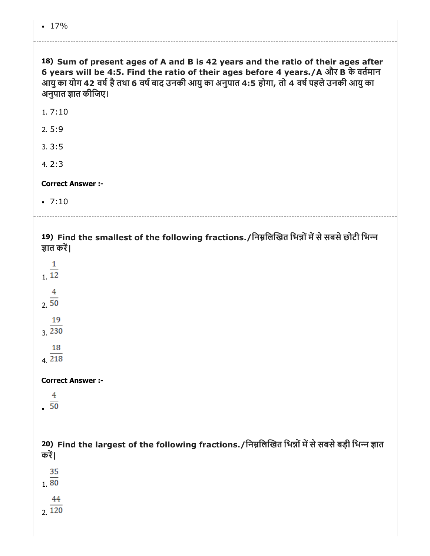| 18) Sum of present ages of A and B is 42 years and the ratio of their ages after<br>6 years will be 4:5. Find the ratio of their ages before 4 years./A और B के वर्तमान<br>आयु का योग 42 वर्ष है तथा 6 वर्ष बाद उनकी आयु का अनुपात 4:5 होगा, तो 4 वर्ष पहले उनकी आयु का<br>अनुपात ज्ञात कीजिए। |
|------------------------------------------------------------------------------------------------------------------------------------------------------------------------------------------------------------------------------------------------------------------------------------------------|
| 1.7:10                                                                                                                                                                                                                                                                                         |
| 2.5:9                                                                                                                                                                                                                                                                                          |
| 3.3:5                                                                                                                                                                                                                                                                                          |
| 4.2:3                                                                                                                                                                                                                                                                                          |
| <b>Correct Answer :-</b>                                                                                                                                                                                                                                                                       |
| $\cdot$ 7:10                                                                                                                                                                                                                                                                                   |
|                                                                                                                                                                                                                                                                                                |
| 19) Find the smallest of the following fractions./निम्नलिखित भिन्नों में से सबसे छोटी भिन्न<br>ज्ञात करें।                                                                                                                                                                                     |
| $\frac{1}{12}$                                                                                                                                                                                                                                                                                 |
| $\frac{4}{2 \cdot 50}$                                                                                                                                                                                                                                                                         |
| 19<br>3.230                                                                                                                                                                                                                                                                                    |
| 18<br>4.218                                                                                                                                                                                                                                                                                    |
| <b>Correct Answer :-</b>                                                                                                                                                                                                                                                                       |
| 4<br>$\overline{50}$                                                                                                                                                                                                                                                                           |
| 20) Find the largest of the following fractions./निम्नलिखित भिन्नों में से सबसे बड़ी भिन्न ज्ञात<br>करें।                                                                                                                                                                                      |
| 35<br>$\overline{80}$                                                                                                                                                                                                                                                                          |
| 44<br>2.120                                                                                                                                                                                                                                                                                    |